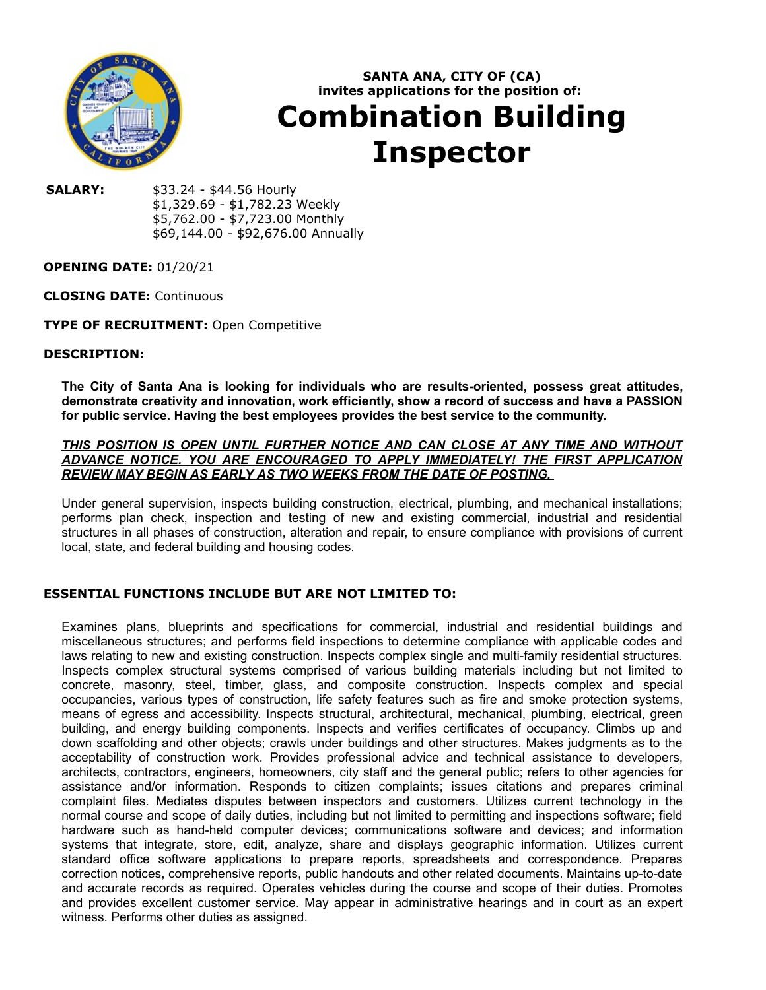

# **SANTA ANA, CITY OF (CA) invites applications for the position of: Combination Building Inspector**

**SALARY:** \$33.24 - \$44.56 Hourly \$1,329.69 - \$1,782.23 Weekly \$5,762.00 - \$7,723.00 Monthly \$69,144.00 - \$92,676.00 Annually

# **OPENING DATE:** 01/20/21

## **CLOSING DATE:** Continuous

# **TYPE OF RECRUITMENT:** Open Competitive

### **DESCRIPTION:**

**The City of Santa Ana is looking for individuals who are results-oriented, possess great attitudes, demonstrate creativity and innovation, work efficiently, show a record of success and have a PASSION for public service. Having the best employees provides the best service to the community.**

## *THIS POSITION IS OPEN UNTIL FURTHER NOTICE AND CAN CLOSE AT ANY TIME AND WITHOUT ADVANCE NOTICE. YOU ARE ENCOURAGED TO APPLY IMMEDIATELY! THE FIRST APPLICATION REVIEW MAY BEGIN AS EARLY AS TWO WEEKS FROM THE DATE OF POSTING.*

Under general supervision, inspects building construction, electrical, plumbing, and mechanical installations; performs plan check, inspection and testing of new and existing commercial, industrial and residential structures in all phases of construction, alteration and repair, to ensure compliance with provisions of current local, state, and federal building and housing codes.

# **ESSENTIAL FUNCTIONS INCLUDE BUT ARE NOT LIMITED TO:**

Examines plans, blueprints and specifications for commercial, industrial and residential buildings and miscellaneous structures; and performs field inspections to determine compliance with applicable codes and laws relating to new and existing construction. Inspects complex single and multi-family residential structures. Inspects complex structural systems comprised of various building materials including but not limited to concrete, masonry, steel, timber, glass, and composite construction. Inspects complex and special occupancies, various types of construction, life safety features such as fire and smoke protection systems, means of egress and accessibility. Inspects structural, architectural, mechanical, plumbing, electrical, green building, and energy building components. Inspects and verifies certificates of occupancy. Climbs up and down scaffolding and other objects; crawls under buildings and other structures. Makes judgments as to the acceptability of construction work. Provides professional advice and technical assistance to developers, architects, contractors, engineers, homeowners, city staff and the general public; refers to other agencies for assistance and/or information. Responds to citizen complaints; issues citations and prepares criminal complaint files. Mediates disputes between inspectors and customers. Utilizes current technology in the normal course and scope of daily duties, including but not limited to permitting and inspections software; field hardware such as hand-held computer devices; communications software and devices; and information systems that integrate, store, edit, analyze, share and displays geographic information. Utilizes current standard office software applications to prepare reports, spreadsheets and correspondence. Prepares correction notices, comprehensive reports, public handouts and other related documents. Maintains up-to-date and accurate records as required. Operates vehicles during the course and scope of their duties. Promotes and provides excellent customer service. May appear in administrative hearings and in court as an expert witness. Performs other duties as assigned.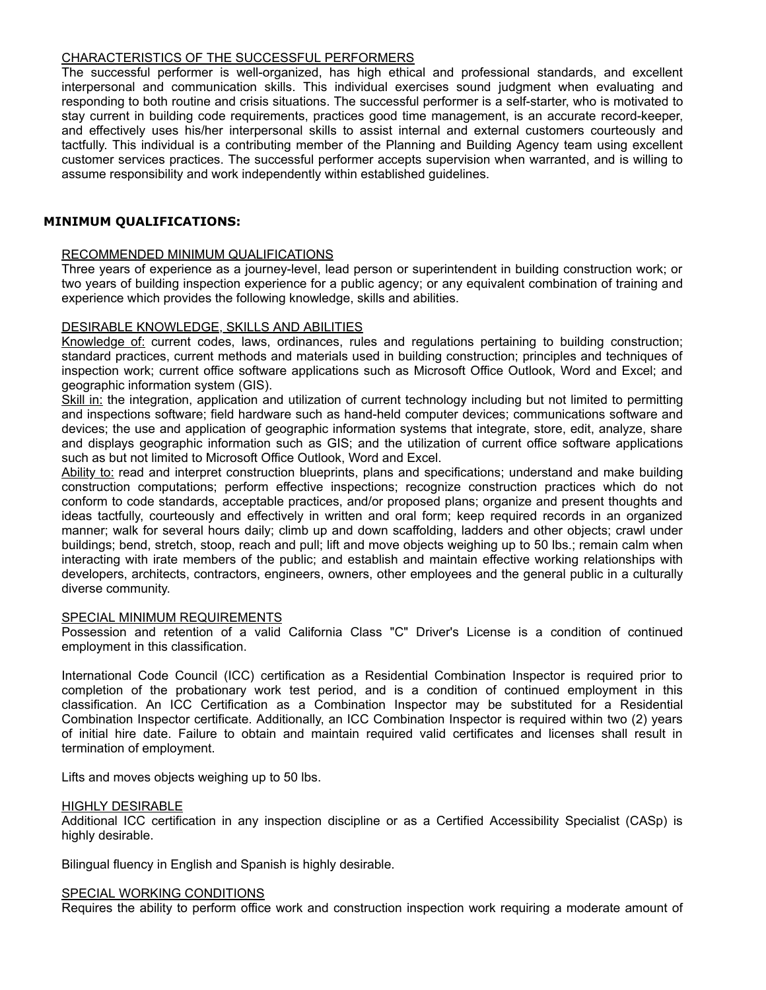## CHARACTERISTICS OF THE SUCCESSFUL PERFORMERS

The successful performer is well-organized, has high ethical and professional standards, and excellent interpersonal and communication skills. This individual exercises sound judgment when evaluating and responding to both routine and crisis situations. The successful performer is a self-starter, who is motivated to stay current in building code requirements, practices good time management, is an accurate record-keeper, and effectively uses his/her interpersonal skills to assist internal and external customers courteously and tactfully. This individual is a contributing member of the Planning and Building Agency team using excellent customer services practices. The successful performer accepts supervision when warranted, and is willing to assume responsibility and work independently within established guidelines.

## **MINIMUM QUALIFICATIONS:**

#### RECOMMENDED MINIMUM QUALIFICATIONS

Three years of experience as a journey-level, lead person or superintendent in building construction work; or two years of building inspection experience for a public agency; or any equivalent combination of training and experience which provides the following knowledge, skills and abilities.

## DESIRABLE KNOWLEDGE, SKILLS AND ABILITIES

Knowledge of: current codes, laws, ordinances, rules and regulations pertaining to building construction; standard practices, current methods and materials used in building construction; principles and techniques of inspection work; current office software applications such as Microsoft Office Outlook, Word and Excel; and geographic information system (GIS).

Skill in: the integration, application and utilization of current technology including but not limited to permitting and inspections software; field hardware such as hand-held computer devices; communications software and devices; the use and application of geographic information systems that integrate, store, edit, analyze, share and displays geographic information such as GIS; and the utilization of current office software applications such as but not limited to Microsoft Office Outlook, Word and Excel.

Ability to: read and interpret construction blueprints, plans and specifications; understand and make building construction computations; perform effective inspections; recognize construction practices which do not conform to code standards, acceptable practices, and/or proposed plans; organize and present thoughts and ideas tactfully, courteously and effectively in written and oral form; keep required records in an organized manner; walk for several hours daily; climb up and down scaffolding, ladders and other objects; crawl under buildings; bend, stretch, stoop, reach and pull; lift and move objects weighing up to 50 lbs.; remain calm when interacting with irate members of the public; and establish and maintain effective working relationships with developers, architects, contractors, engineers, owners, other employees and the general public in a culturally diverse community.

#### SPECIAL MINIMUM REQUIREMENTS

Possession and retention of a valid California Class "C" Driver's License is a condition of continued employment in this classification.

International Code Council (ICC) certification as a Residential Combination Inspector is required prior to completion of the probationary work test period, and is a condition of continued employment in this classification. An ICC Certification as a Combination Inspector may be substituted for a Residential Combination Inspector certificate. Additionally, an ICC Combination Inspector is required within two (2) years of initial hire date. Failure to obtain and maintain required valid certificates and licenses shall result in termination of employment.

Lifts and moves objects weighing up to 50 lbs.

#### HIGHLY DESIRABLE

Additional ICC certification in any inspection discipline or as a Certified Accessibility Specialist (CASp) is highly desirable.

Bilingual fluency in English and Spanish is highly desirable.

#### SPECIAL WORKING CONDITIONS

Requires the ability to perform office work and construction inspection work requiring a moderate amount of